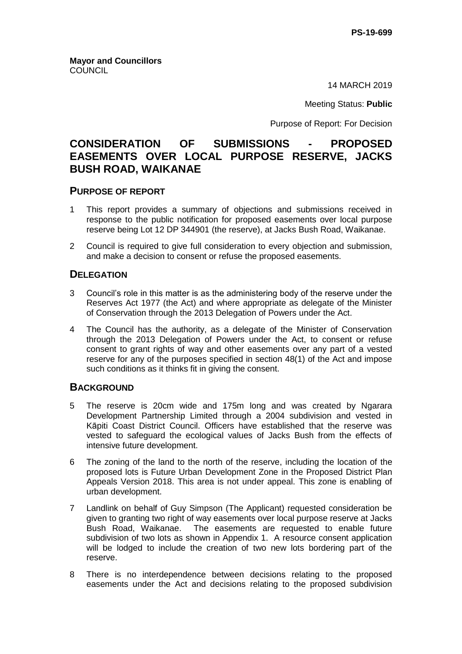14 MARCH 2019

Meeting Status: **Public**

Purpose of Report: For Decision

# **CONSIDERATION OF SUBMISSIONS - PROPOSED EASEMENTS OVER LOCAL PURPOSE RESERVE, JACKS BUSH ROAD, WAIKANAE**

## **PURPOSE OF REPORT**

- 1 This report provides a summary of objections and submissions received in response to the public notification for proposed easements over local purpose reserve being Lot 12 DP 344901 (the reserve), at Jacks Bush Road, Waikanae.
- 2 Council is required to give full consideration to every objection and submission, and make a decision to consent or refuse the proposed easements.

## **DELEGATION**

- 3 Council's role in this matter is as the administering body of the reserve under the Reserves Act 1977 (the Act) and where appropriate as delegate of the Minister of Conservation through the 2013 Delegation of Powers under the Act.
- 4 The Council has the authority, as a delegate of the Minister of Conservation through the 2013 Delegation of Powers under the Act, to consent or refuse consent to grant rights of way and other easements over any part of a vested reserve for any of the purposes specified in section 48(1) of the Act and impose such conditions as it thinks fit in giving the consent.

## **BACKGROUND**

- 5 The reserve is 20cm wide and 175m long and was created by Ngarara Development Partnership Limited through a 2004 subdivision and vested in Kāpiti Coast District Council. Officers have established that the reserve was vested to safeguard the ecological values of Jacks Bush from the effects of intensive future development.
- 6 The zoning of the land to the north of the reserve, including the location of the proposed lots is Future Urban Development Zone in the Proposed District Plan Appeals Version 2018. This area is not under appeal. This zone is enabling of urban development.
- 7 Landlink on behalf of Guy Simpson (The Applicant) requested consideration be given to granting two right of way easements over local purpose reserve at Jacks Bush Road, Waikanae. The easements are requested to enable future subdivision of two lots as shown in Appendix 1. A resource consent application will be lodged to include the creation of two new lots bordering part of the reserve.
- 8 There is no interdependence between decisions relating to the proposed easements under the Act and decisions relating to the proposed subdivision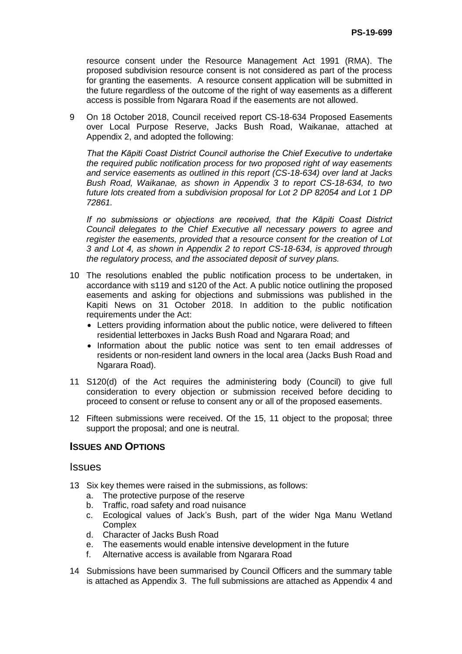resource consent under the Resource Management Act 1991 (RMA). The proposed subdivision resource consent is not considered as part of the process for granting the easements. A resource consent application will be submitted in the future regardless of the outcome of the right of way easements as a different access is possible from Ngarara Road if the easements are not allowed.

9 On 18 October 2018, Council received report CS-18-634 Proposed Easements over Local Purpose Reserve, Jacks Bush Road, Waikanae, attached at Appendix 2, and adopted the following:

*That the Kāpiti Coast District Council authorise the Chief Executive to undertake the required public notification process for two proposed right of way easements and service easements as outlined in this report (CS-18-634) over land at Jacks Bush Road, Waikanae, as shown in Appendix 3 to report CS-18-634, to two future lots created from a subdivision proposal for Lot 2 DP 82054 and Lot 1 DP 72861.* 

*If no submissions or objections are received, that the Kāpiti Coast District Council delegates to the Chief Executive all necessary powers to agree and register the easements, provided that a resource consent for the creation of Lot 3 and Lot 4, as shown in Appendix 2 to report CS-18-634, is approved through the regulatory process, and the associated deposit of survey plans.* 

- 10 The resolutions enabled the public notification process to be undertaken, in accordance with s119 and s120 of the Act. A public notice outlining the proposed easements and asking for objections and submissions was published in the Kapiti News on 31 October 2018. In addition to the public notification requirements under the Act:
	- Letters providing information about the public notice, were delivered to fifteen residential letterboxes in Jacks Bush Road and Ngarara Road; and
	- Information about the public notice was sent to ten email addresses of residents or non-resident land owners in the local area (Jacks Bush Road and Ngarara Road).
- 11 S120(d) of the Act requires the administering body (Council) to give full consideration to every objection or submission received before deciding to proceed to consent or refuse to consent any or all of the proposed easements.
- 12 Fifteen submissions were received. Of the 15, 11 object to the proposal; three support the proposal; and one is neutral.

## **ISSUES AND OPTIONS**

## **Issues**

- 13 Six key themes were raised in the submissions, as follows:
	- a. The protective purpose of the reserve
	- b. Traffic, road safety and road nuisance
	- c. Ecological values of Jack's Bush, part of the wider Nga Manu Wetland **Complex**
	- d. Character of Jacks Bush Road
	- e. The easements would enable intensive development in the future
	- f. Alternative access is available from Ngarara Road
- 14 Submissions have been summarised by Council Officers and the summary table is attached as Appendix 3. The full submissions are attached as Appendix 4 and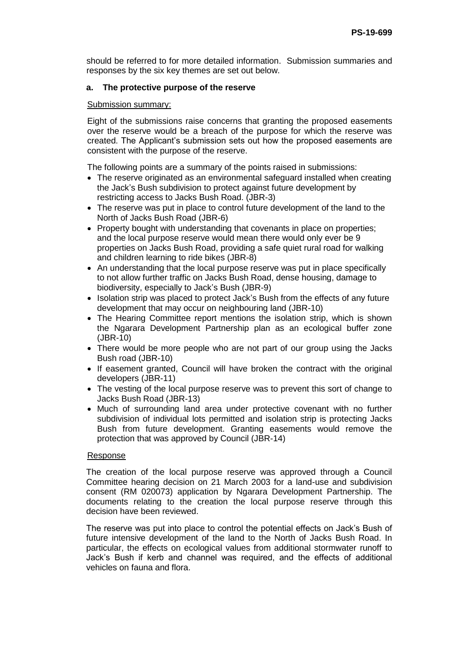should be referred to for more detailed information. Submission summaries and responses by the six key themes are set out below.

### **a. The protective purpose of the reserve**

#### Submission summary:

Eight of the submissions raise concerns that granting the proposed easements over the reserve would be a breach of the purpose for which the reserve was created. The Applicant's submission sets out how the proposed easements are consistent with the purpose of the reserve.

The following points are a summary of the points raised in submissions:

- The reserve originated as an environmental safeguard installed when creating the Jack's Bush subdivision to protect against future development by restricting access to Jacks Bush Road. (JBR-3)
- The reserve was put in place to control future development of the land to the North of Jacks Bush Road (JBR-6)
- Property bought with understanding that covenants in place on properties; and the local purpose reserve would mean there would only ever be 9 properties on Jacks Bush Road, providing a safe quiet rural road for walking and children learning to ride bikes (JBR-8)
- An understanding that the local purpose reserve was put in place specifically to not allow further traffic on Jacks Bush Road, dense housing, damage to biodiversity, especially to Jack's Bush (JBR-9)
- Isolation strip was placed to protect Jack's Bush from the effects of any future development that may occur on neighbouring land (JBR-10)
- The Hearing Committee report mentions the isolation strip, which is shown the Ngarara Development Partnership plan as an ecological buffer zone (JBR-10)
- There would be more people who are not part of our group using the Jacks Bush road (JBR-10)
- If easement granted, Council will have broken the contract with the original developers (JBR-11)
- The vesting of the local purpose reserve was to prevent this sort of change to Jacks Bush Road (JBR-13)
- Much of surrounding land area under protective covenant with no further subdivision of individual lots permitted and isolation strip is protecting Jacks Bush from future development. Granting easements would remove the protection that was approved by Council (JBR-14)

#### Response

The creation of the local purpose reserve was approved through a Council Committee hearing decision on 21 March 2003 for a land-use and subdivision consent (RM 020073) application by Ngarara Development Partnership. The documents relating to the creation the local purpose reserve through this decision have been reviewed.

The reserve was put into place to control the potential effects on Jack's Bush of future intensive development of the land to the North of Jacks Bush Road. In particular, the effects on ecological values from additional stormwater runoff to Jack's Bush if kerb and channel was required, and the effects of additional vehicles on fauna and flora.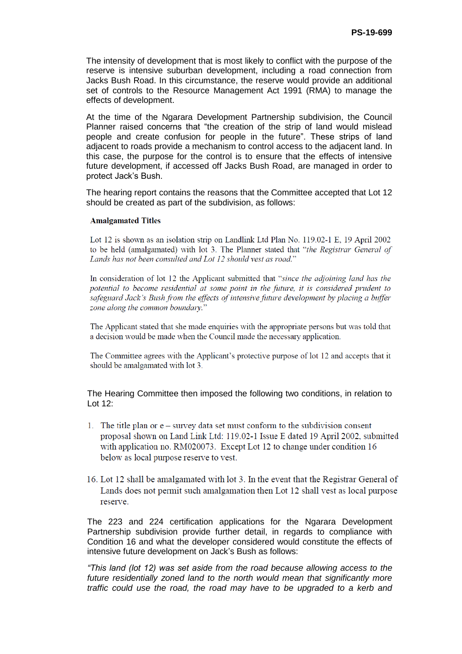The intensity of development that is most likely to conflict with the purpose of the reserve is intensive suburban development, including a road connection from Jacks Bush Road. In this circumstance, the reserve would provide an additional set of controls to the Resource Management Act 1991 (RMA) to manage the effects of development.

At the time of the Ngarara Development Partnership subdivision, the Council Planner raised concerns that "the creation of the strip of land would mislead people and create confusion for people in the future". These strips of land adjacent to roads provide a mechanism to control access to the adjacent land. In this case, the purpose for the control is to ensure that the effects of intensive future development, if accessed off Jacks Bush Road, are managed in order to protect Jack's Bush.

The hearing report contains the reasons that the Committee accepted that Lot 12 should be created as part of the subdivision, as follows:

#### **Amalgamated Titles**

Lot 12 is shown as an isolation strip on Landlink Ltd Plan No. 119.02-1 E, 19 April 2002 to be held (amalgamated) with lot 3. The Planner stated that "the Registrar General of Lands has not been consulted and Lot 12 should vest as road."

In consideration of lot 12 the Applicant submitted that "since the adjoining land has the potential to become residential at some point in the future, it is considered prudent to safeguard Jack's Bush from the effects of intensive future development by placing a buffer zone along the common boundary."

The Applicant stated that she made enquiries with the appropriate persons but was told that a decision would be made when the Council made the necessary application.

The Committee agrees with the Applicant's protective purpose of lot 12 and accepts that it should be amalgamated with lot 3.

The Hearing Committee then imposed the following two conditions, in relation to Lot 12:

- 1. The title plan or e survey data set must conform to the subdivision consent proposal shown on Land Link Ltd: 119.02-1 Issue E dated 19 April 2002, submitted with application no. RM020073. Except Lot 12 to change under condition 16 below as local purpose reserve to vest.
- 16. Lot 12 shall be amalgamated with lot 3. In the event that the Registrar General of Lands does not permit such amalgamation then Lot 12 shall vest as local purpose reserve.

The 223 and 224 certification applications for the Ngarara Development Partnership subdivision provide further detail, in regards to compliance with Condition 16 and what the developer considered would constitute the effects of intensive future development on Jack's Bush as follows:

*"This land (lot 12) was set aside from the road because allowing access to the future residentially zoned land to the north would mean that significantly more traffic could use the road, the road may have to be upgraded to a kerb and*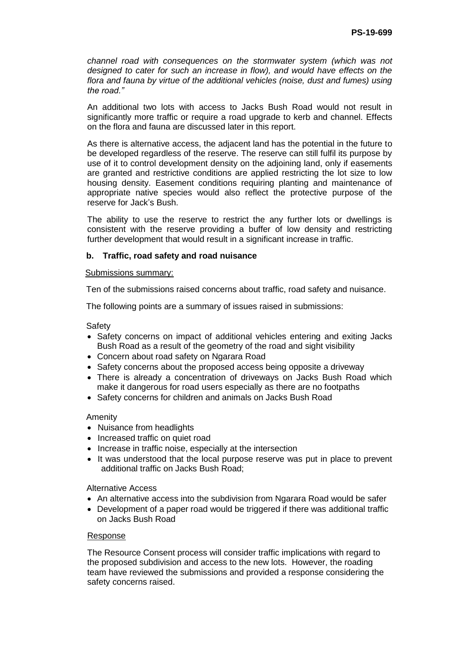*channel road with consequences on the stormwater system (which was not designed to cater for such an increase in flow), and would have effects on the flora and fauna by virtue of the additional vehicles (noise, dust and fumes) using the road."*

An additional two lots with access to Jacks Bush Road would not result in significantly more traffic or require a road upgrade to kerb and channel. Effects on the flora and fauna are discussed later in this report.

As there is alternative access, the adjacent land has the potential in the future to be developed regardless of the reserve. The reserve can still fulfil its purpose by use of it to control development density on the adjoining land, only if easements are granted and restrictive conditions are applied restricting the lot size to low housing density. Easement conditions requiring planting and maintenance of appropriate native species would also reflect the protective purpose of the reserve for Jack's Bush.

The ability to use the reserve to restrict the any further lots or dwellings is consistent with the reserve providing a buffer of low density and restricting further development that would result in a significant increase in traffic.

### **b. Traffic, road safety and road nuisance**

#### Submissions summary:

Ten of the submissions raised concerns about traffic, road safety and nuisance.

The following points are a summary of issues raised in submissions:

**Safety** 

- Safety concerns on impact of additional vehicles entering and exiting Jacks Bush Road as a result of the geometry of the road and sight visibility
- Concern about road safety on Ngarara Road
- Safety concerns about the proposed access being opposite a driveway
- There is already a concentration of driveways on Jacks Bush Road which make it dangerous for road users especially as there are no footpaths
- Safety concerns for children and animals on Jacks Bush Road

#### Amenity

- Nuisance from headlights
- Increased traffic on quiet road
- Increase in traffic noise, especially at the intersection
- It was understood that the local purpose reserve was put in place to prevent additional traffic on Jacks Bush Road;

Alternative Access

- An alternative access into the subdivision from Ngarara Road would be safer
- Development of a paper road would be triggered if there was additional traffic on Jacks Bush Road

#### Response

The Resource Consent process will consider traffic implications with regard to the proposed subdivision and access to the new lots. However, the roading team have reviewed the submissions and provided a response considering the safety concerns raised.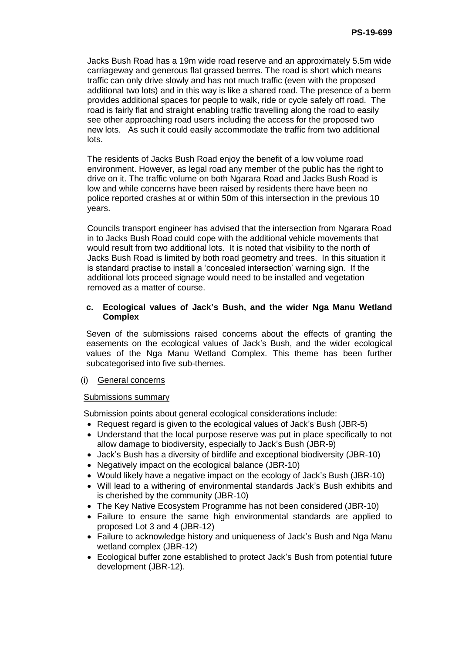Jacks Bush Road has a 19m wide road reserve and an approximately 5.5m wide carriageway and generous flat grassed berms. The road is short which means traffic can only drive slowly and has not much traffic (even with the proposed additional two lots) and in this way is like a shared road. The presence of a berm provides additional spaces for people to walk, ride or cycle safely off road. The road is fairly flat and straight enabling traffic travelling along the road to easily see other approaching road users including the access for the proposed two new lots. As such it could easily accommodate the traffic from two additional lots.

The residents of Jacks Bush Road enjoy the benefit of a low volume road environment. However, as legal road any member of the public has the right to drive on it. The traffic volume on both Ngarara Road and Jacks Bush Road is low and while concerns have been raised by residents there have been no police reported crashes at or within 50m of this intersection in the previous 10 years.

Councils transport engineer has advised that the intersection from Ngarara Road in to Jacks Bush Road could cope with the additional vehicle movements that would result from two additional lots. It is noted that visibility to the north of Jacks Bush Road is limited by both road geometry and trees. In this situation it is standard practise to install a 'concealed intersection' warning sign. If the additional lots proceed signage would need to be installed and vegetation removed as a matter of course.

### **c. Ecological values of Jack's Bush, and the wider Nga Manu Wetland Complex**

Seven of the submissions raised concerns about the effects of granting the easements on the ecological values of Jack's Bush, and the wider ecological values of the Nga Manu Wetland Complex. This theme has been further subcategorised into five sub-themes.

## (i) General concerns

#### Submissions summary

Submission points about general ecological considerations include:

- Request regard is given to the ecological values of Jack's Bush (JBR-5)
- Understand that the local purpose reserve was put in place specifically to not allow damage to biodiversity, especially to Jack's Bush (JBR-9)
- Jack's Bush has a diversity of birdlife and exceptional biodiversity (JBR-10)
- Negatively impact on the ecological balance (JBR-10)
- Would likely have a negative impact on the ecology of Jack's Bush (JBR-10)
- Will lead to a withering of environmental standards Jack's Bush exhibits and is cherished by the community (JBR-10)
- The Key Native Ecosystem Programme has not been considered (JBR-10)
- Failure to ensure the same high environmental standards are applied to proposed Lot 3 and 4 (JBR-12)
- Failure to acknowledge history and uniqueness of Jack's Bush and Nga Manu wetland complex (JBR-12)
- Ecological buffer zone established to protect Jack's Bush from potential future development (JBR-12).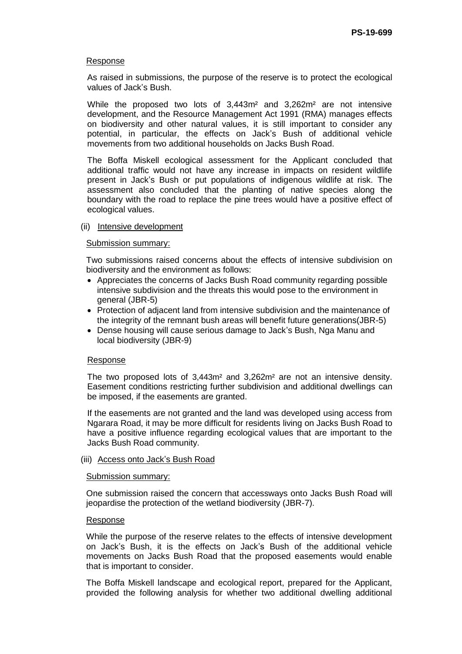#### Response

As raised in submissions, the purpose of the reserve is to protect the ecological values of Jack's Bush.

While the proposed two lots of 3,443m² and 3,262m² are not intensive development, and the Resource Management Act 1991 (RMA) manages effects on biodiversity and other natural values, it is still important to consider any potential, in particular, the effects on Jack's Bush of additional vehicle movements from two additional households on Jacks Bush Road.

The Boffa Miskell ecological assessment for the Applicant concluded that additional traffic would not have any increase in impacts on resident wildlife present in Jack's Bush or put populations of indigenous wildlife at risk. The assessment also concluded that the planting of native species along the boundary with the road to replace the pine trees would have a positive effect of ecological values.

#### (ii) Intensive development

#### Submission summary:

Two submissions raised concerns about the effects of intensive subdivision on biodiversity and the environment as follows:

- Appreciates the concerns of Jacks Bush Road community regarding possible intensive subdivision and the threats this would pose to the environment in general (JBR-5)
- Protection of adjacent land from intensive subdivision and the maintenance of the integrity of the remnant bush areas will benefit future generations(JBR-5)
- Dense housing will cause serious damage to Jack's Bush, Nga Manu and local biodiversity (JBR-9)

#### Response

The two proposed lots of 3,443m² and 3,262m² are not an intensive density. Easement conditions restricting further subdivision and additional dwellings can be imposed, if the easements are granted.

If the easements are not granted and the land was developed using access from Ngarara Road, it may be more difficult for residents living on Jacks Bush Road to have a positive influence regarding ecological values that are important to the Jacks Bush Road community.

#### (iii) Access onto Jack's Bush Road

#### Submission summary:

One submission raised the concern that accessways onto Jacks Bush Road will jeopardise the protection of the wetland biodiversity (JBR-7).

#### Response

While the purpose of the reserve relates to the effects of intensive development on Jack's Bush, it is the effects on Jack's Bush of the additional vehicle movements on Jacks Bush Road that the proposed easements would enable that is important to consider.

The Boffa Miskell landscape and ecological report, prepared for the Applicant, provided the following analysis for whether two additional dwelling additional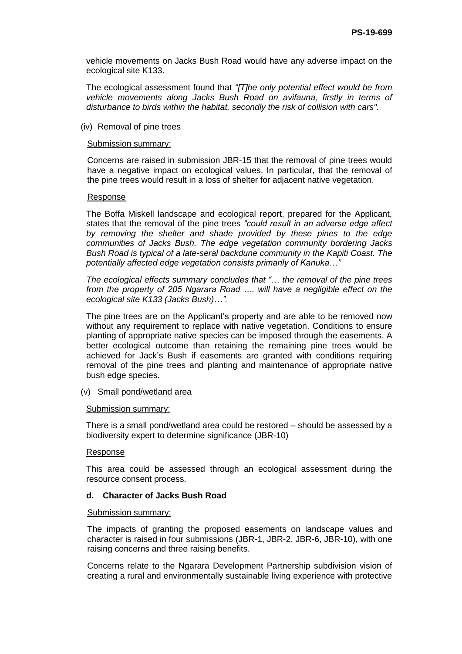vehicle movements on Jacks Bush Road would have any adverse impact on the ecological site K133.

The ecological assessment found that *"[T]he only potential effect would be from vehicle movements along Jacks Bush Road on avifauna, firstly in terms of disturbance to birds within the habitat, secondly the risk of collision with cars".*

#### (iv) Removal of pine trees

#### Submission summary:

Concerns are raised in submission JBR-15 that the removal of pine trees would have a negative impact on ecological values. In particular, that the removal of the pine trees would result in a loss of shelter for adjacent native vegetation.

#### Response

The Boffa Miskell landscape and ecological report, prepared for the Applicant, states that the removal of the pine trees *"could result in an adverse edge affect by removing the shelter and shade provided by these pines to the edge communities of Jacks Bush. The edge vegetation community bordering Jacks Bush Road is typical of a late-seral backdune community in the Kapiti Coast. The potentially affected edge vegetation consists primarily of Kanuka…"* 

*The ecological effects summary concludes that "… the removal of the pine trees from the property of 205 Ngarara Road …. will have a negligible effect on the ecological site K133 (Jacks Bush)…".*

The pine trees are on the Applicant's property and are able to be removed now without any requirement to replace with native vegetation. Conditions to ensure planting of appropriate native species can be imposed through the easements. A better ecological outcome than retaining the remaining pine trees would be achieved for Jack's Bush if easements are granted with conditions requiring removal of the pine trees and planting and maintenance of appropriate native bush edge species.

#### (v) Small pond/wetland area

#### Submission summary:

There is a small pond/wetland area could be restored – should be assessed by a biodiversity expert to determine significance (JBR-10)

#### Response

This area could be assessed through an ecological assessment during the resource consent process.

#### **d. Character of Jacks Bush Road**

#### Submission summary:

The impacts of granting the proposed easements on landscape values and character is raised in four submissions (JBR-1, JBR-2, JBR-6, JBR-10), with one raising concerns and three raising benefits.

Concerns relate to the Ngarara Development Partnership subdivision vision of creating a rural and environmentally sustainable living experience with protective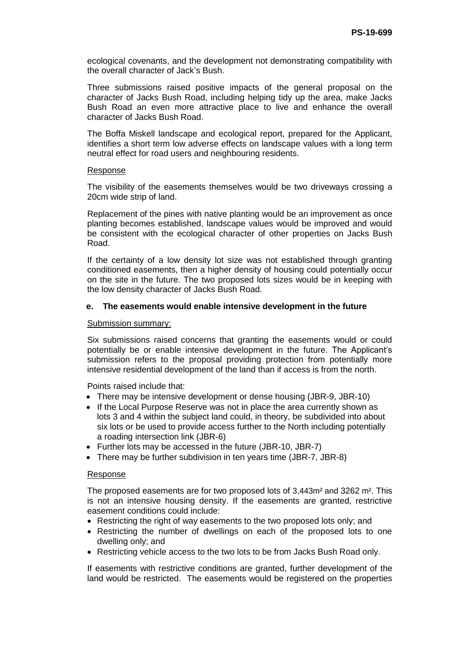ecological covenants, and the development not demonstrating compatibility with the overall character of Jack's Bush.

Three submissions raised positive impacts of the general proposal on the character of Jacks Bush Road, including helping tidy up the area, make Jacks Bush Road an even more attractive place to live and enhance the overall character of Jacks Bush Road.

The Boffa Miskell landscape and ecological report, prepared for the Applicant, identifies a short term low adverse effects on landscape values with a long term neutral effect for road users and neighbouring residents.

#### Response

The visibility of the easements themselves would be two driveways crossing a 20cm wide strip of land.

Replacement of the pines with native planting would be an improvement as once planting becomes established, landscape values would be improved and would be consistent with the ecological character of other properties on Jacks Bush Road.

If the certainty of a low density lot size was not established through granting conditioned easements, then a higher density of housing could potentially occur on the site in the future. The two proposed lots sizes would be in keeping with the low density character of Jacks Bush Road.

### **e. The easements would enable intensive development in the future**

## Submission summary:

Six submissions raised concerns that granting the easements would or could potentially be or enable intensive development in the future. The Applicant's submission refers to the proposal providing protection from potentially more intensive residential development of the land than if access is from the north.

Points raised include that:

- There may be intensive development or dense housing (JBR-9, JBR-10)
- If the Local Purpose Reserve was not in place the area currently shown as lots 3 and 4 within the subject land could, in theory, be subdivided into about six lots or be used to provide access further to the North including potentially a roading intersection link (JBR-6)
- Further lots may be accessed in the future (JBR-10, JBR-7)
- There may be further subdivision in ten years time (JBR-7, JBR-8)

#### Response

The proposed easements are for two proposed lots of 3,443m² and 3262 m². This is not an intensive housing density. If the easements are granted, restrictive easement conditions could include:

- Restricting the right of way easements to the two proposed lots only; and
- Restricting the number of dwellings on each of the proposed lots to one dwelling only; and
- Restricting vehicle access to the two lots to be from Jacks Bush Road only.

If easements with restrictive conditions are granted, further development of the land would be restricted. The easements would be registered on the properties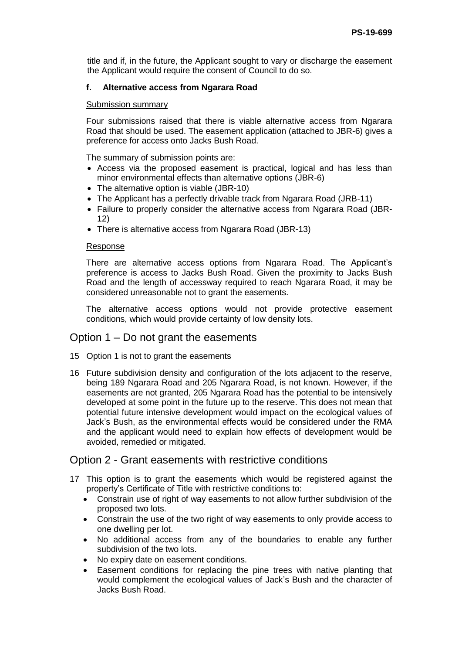title and if, in the future, the Applicant sought to vary or discharge the easement the Applicant would require the consent of Council to do so.

### **f. Alternative access from Ngarara Road**

#### Submission summary

Four submissions raised that there is viable alternative access from Ngarara Road that should be used. The easement application (attached to JBR-6) gives a preference for access onto Jacks Bush Road.

The summary of submission points are:

- Access via the proposed easement is practical, logical and has less than minor environmental effects than alternative options (JBR-6)
- The alternative option is viable (JBR-10)
- The Applicant has a perfectly drivable track from Ngarara Road (JRB-11)
- Failure to properly consider the alternative access from Ngarara Road (JBR-12)
- There is alternative access from Ngarara Road (JBR-13)

#### Response

There are alternative access options from Ngarara Road. The Applicant's preference is access to Jacks Bush Road. Given the proximity to Jacks Bush Road and the length of accessway required to reach Ngarara Road, it may be considered unreasonable not to grant the easements.

The alternative access options would not provide protective easement conditions, which would provide certainty of low density lots.

## Option 1 – Do not grant the easements

- 15 Option 1 is not to grant the easements
- 16 Future subdivision density and configuration of the lots adjacent to the reserve, being 189 Ngarara Road and 205 Ngarara Road, is not known. However, if the easements are not granted, 205 Ngarara Road has the potential to be intensively developed at some point in the future up to the reserve. This does not mean that potential future intensive development would impact on the ecological values of Jack's Bush, as the environmental effects would be considered under the RMA and the applicant would need to explain how effects of development would be avoided, remedied or mitigated.

## Option 2 - Grant easements with restrictive conditions

- 17 This option is to grant the easements which would be registered against the property's Certificate of Title with restrictive conditions to:
	- Constrain use of right of way easements to not allow further subdivision of the proposed two lots.
	- Constrain the use of the two right of way easements to only provide access to one dwelling per lot.
	- No additional access from any of the boundaries to enable any further subdivision of the two lots.
	- No expiry date on easement conditions.
	- Easement conditions for replacing the pine trees with native planting that would complement the ecological values of Jack's Bush and the character of Jacks Bush Road.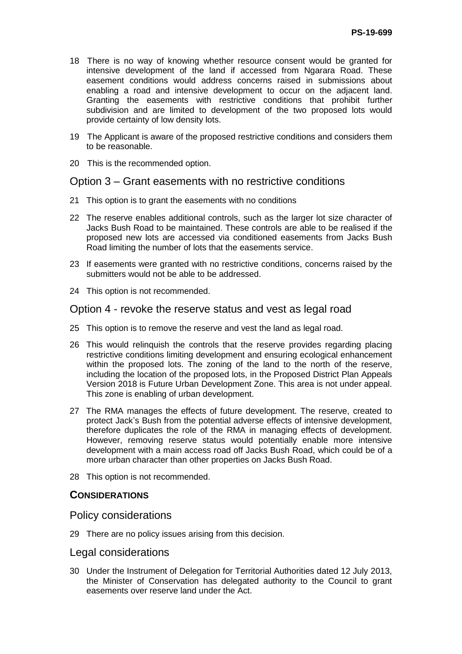- 18 There is no way of knowing whether resource consent would be granted for intensive development of the land if accessed from Ngarara Road. These easement conditions would address concerns raised in submissions about enabling a road and intensive development to occur on the adjacent land. Granting the easements with restrictive conditions that prohibit further subdivision and are limited to development of the two proposed lots would provide certainty of low density lots.
- 19 The Applicant is aware of the proposed restrictive conditions and considers them to be reasonable.
- 20 This is the recommended option.

## Option 3 – Grant easements with no restrictive conditions

- 21 This option is to grant the easements with no conditions
- 22 The reserve enables additional controls, such as the larger lot size character of Jacks Bush Road to be maintained. These controls are able to be realised if the proposed new lots are accessed via conditioned easements from Jacks Bush Road limiting the number of lots that the easements service.
- 23 If easements were granted with no restrictive conditions, concerns raised by the submitters would not be able to be addressed.
- 24 This option is not recommended.

## Option 4 - revoke the reserve status and vest as legal road

- 25 This option is to remove the reserve and vest the land as legal road.
- 26 This would relinquish the controls that the reserve provides regarding placing restrictive conditions limiting development and ensuring ecological enhancement within the proposed lots. The zoning of the land to the north of the reserve, including the location of the proposed lots, in the Proposed District Plan Appeals Version 2018 is Future Urban Development Zone. This area is not under appeal. This zone is enabling of urban development.
- 27 The RMA manages the effects of future development. The reserve, created to protect Jack's Bush from the potential adverse effects of intensive development, therefore duplicates the role of the RMA in managing effects of development. However, removing reserve status would potentially enable more intensive development with a main access road off Jacks Bush Road, which could be of a more urban character than other properties on Jacks Bush Road.
- 28 This option is not recommended.

## **CONSIDERATIONS**

## Policy considerations

29 There are no policy issues arising from this decision.

#### Legal considerations

30 Under the Instrument of Delegation for Territorial Authorities dated 12 July 2013, the Minister of Conservation has delegated authority to the Council to grant easements over reserve land under the Act.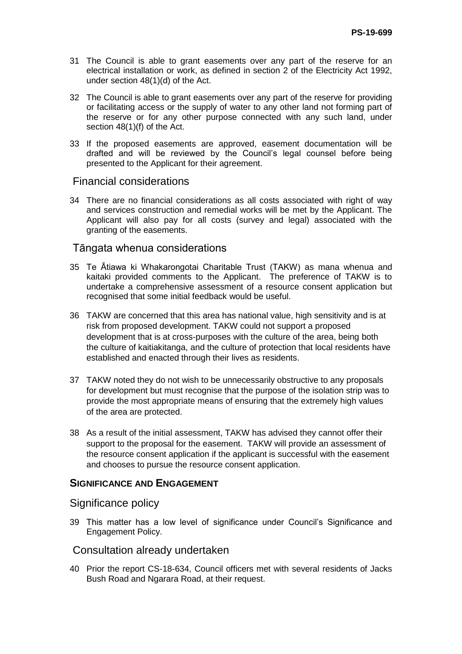- 31 The Council is able to grant easements over any part of the reserve for an electrical installation or work, as defined in section 2 of the Electricity Act 1992, under section 48(1)(d) of the Act.
- 32 The Council is able to grant easements over any part of the reserve for providing or facilitating access or the supply of water to any other land not forming part of the reserve or for any other purpose connected with any such land, under section 48(1)(f) of the Act.
- 33 If the proposed easements are approved, easement documentation will be drafted and will be reviewed by the Council's legal counsel before being presented to the Applicant for their agreement.

## Financial considerations

34 There are no financial considerations as all costs associated with right of way and services construction and remedial works will be met by the Applicant. The Applicant will also pay for all costs (survey and legal) associated with the granting of the easements.

## Tāngata whenua considerations

- 35 Te Ātiawa ki Whakarongotai Charitable Trust (TAKW) as mana whenua and kaitaki provided comments to the Applicant. The preference of TAKW is to undertake a comprehensive assessment of a resource consent application but recognised that some initial feedback would be useful.
- 36 TAKW are concerned that this area has national value, high sensitivity and is at risk from proposed development. TAKW could not support a proposed development that is at cross-purposes with the culture of the area, being both the culture of kaitiakitanga, and the culture of protection that local residents have established and enacted through their lives as residents.
- 37 TAKW noted they do not wish to be unnecessarily obstructive to any proposals for development but must recognise that the purpose of the isolation strip was to provide the most appropriate means of ensuring that the extremely high values of the area are protected.
- 38 As a result of the initial assessment, TAKW has advised they cannot offer their support to the proposal for the easement. TAKW will provide an assessment of the resource consent application if the applicant is successful with the easement and chooses to pursue the resource consent application.

## **SIGNIFICANCE AND ENGAGEMENT**

## Significance policy

39 This matter has a low level of significance under Council's Significance and Engagement Policy.

## Consultation already undertaken

40 Prior the report CS-18-634, Council officers met with several residents of Jacks Bush Road and Ngarara Road, at their request.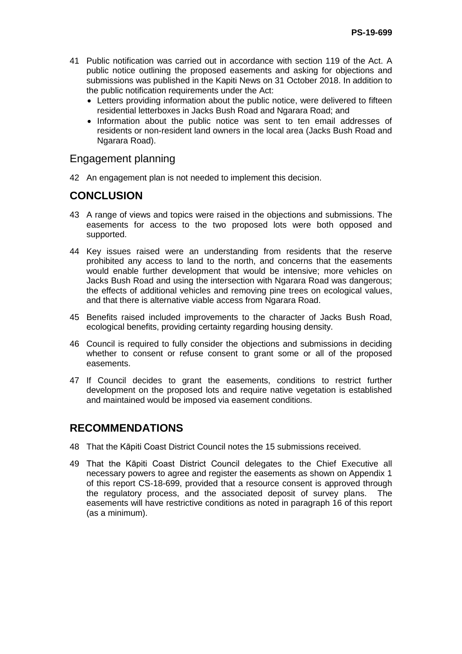- 41 Public notification was carried out in accordance with section 119 of the Act. A public notice outlining the proposed easements and asking for objections and submissions was published in the Kapiti News on 31 October 2018. In addition to the public notification requirements under the Act:
	- Letters providing information about the public notice, were delivered to fifteen residential letterboxes in Jacks Bush Road and Ngarara Road; and
	- Information about the public notice was sent to ten email addresses of residents or non-resident land owners in the local area (Jacks Bush Road and Ngarara Road).

## Engagement planning

42 An engagement plan is not needed to implement this decision.

# **CONCLUSION**

- 43 A range of views and topics were raised in the objections and submissions. The easements for access to the two proposed lots were both opposed and supported.
- 44 Key issues raised were an understanding from residents that the reserve prohibited any access to land to the north, and concerns that the easements would enable further development that would be intensive; more vehicles on Jacks Bush Road and using the intersection with Ngarara Road was dangerous; the effects of additional vehicles and removing pine trees on ecological values, and that there is alternative viable access from Ngarara Road.
- 45 Benefits raised included improvements to the character of Jacks Bush Road, ecological benefits, providing certainty regarding housing density.
- 46 Council is required to fully consider the objections and submissions in deciding whether to consent or refuse consent to grant some or all of the proposed easements.
- 47 If Council decides to grant the easements, conditions to restrict further development on the proposed lots and require native vegetation is established and maintained would be imposed via easement conditions.

# **RECOMMENDATIONS**

- 48 That the Kāpiti Coast District Council notes the 15 submissions received.
- 49 That the Kāpiti Coast District Council delegates to the Chief Executive all necessary powers to agree and register the easements as shown on Appendix 1 of this report CS-18-699, provided that a resource consent is approved through the regulatory process, and the associated deposit of survey plans. The easements will have restrictive conditions as noted in paragraph 16 of this report (as a minimum).